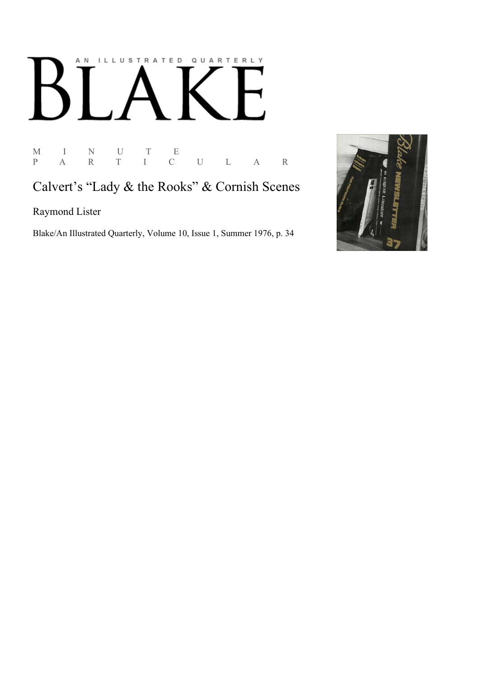## AN ILLUSTRATED QUARTERLY

M I N U T E<br>P A R T I C P A R T I C U L A R

Calvert's "Lady & the Rooks" & Cornish Scenes

Raymond Lister

Blake/An Illustrated Quarterly, Volume 10, Issue 1, Summer 1976, p. 34